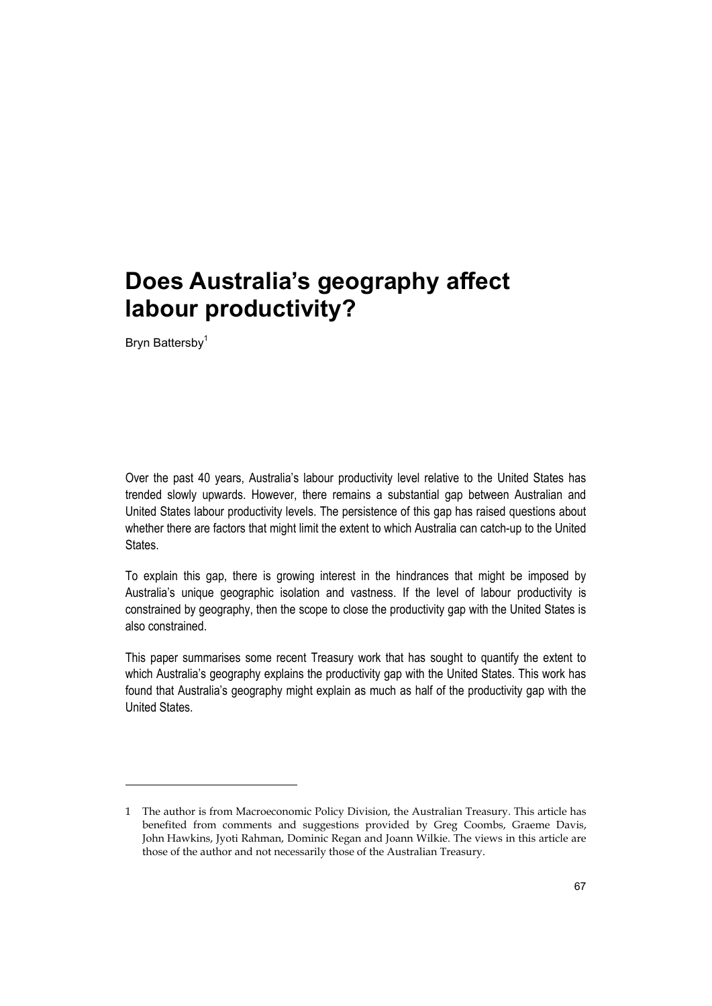Bryn Battersby<sup>1</sup>

-

Over the past 40 years, Australia's labour productivity level relative to the United States has trended slowly upwards. However, there remains a substantial gap between Australian and United States labour productivity levels. The persistence of this gap has raised questions about whether there are factors that might limit the extent to which Australia can catch-up to the United States.

To explain this gap, there is growing interest in the hindrances that might be imposed by Australia's unique geographic isolation and vastness. If the level of labour productivity is constrained by geography, then the scope to close the productivity gap with the United States is also constrained.

This paper summarises some recent Treasury work that has sought to quantify the extent to which Australia's geography explains the productivity gap with the United States. This work has found that Australia's geography might explain as much as half of the productivity gap with the United States.

<sup>1</sup> The author is from Macroeconomic Policy Division, the Australian Treasury. This article has benefited from comments and suggestions provided by Greg Coombs, Graeme Davis, John Hawkins, Jyoti Rahman, Dominic Regan and Joann Wilkie. The views in this article are those of the author and not necessarily those of the Australian Treasury.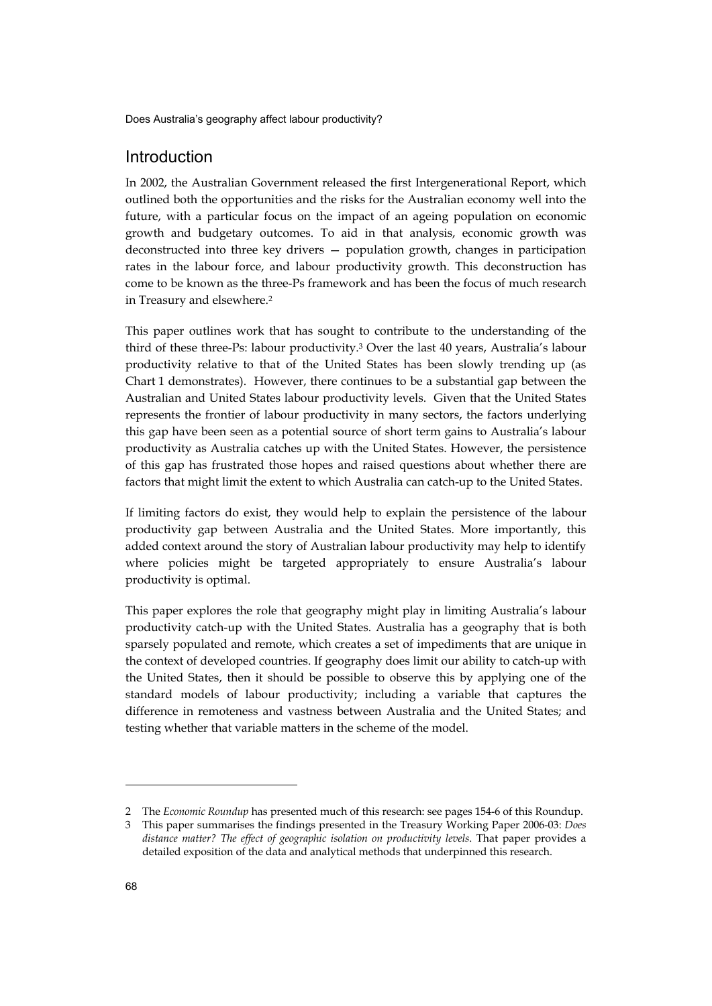# Introduction

In 2002, the Australian Government released the first Intergenerational Report, which outlined both the opportunities and the risks for the Australian economy well into the future, with a particular focus on the impact of an ageing population on economic growth and budgetary outcomes. To aid in that analysis, economic growth was deconstructed into three key drivers — population growth, changes in participation rates in the labour force, and labour productivity growth. This deconstruction has come to be known as the three-Ps framework and has been the focus of much research in Treasury and elsewhere.2

This paper outlines work that has sought to contribute to the understanding of the third of these three-Ps: labour productivity.3 Over the last 40 years, Australia's labour productivity relative to that of the United States has been slowly trending up (as Chart 1 demonstrates). However, there continues to be a substantial gap between the Australian and United States labour productivity levels. Given that the United States represents the frontier of labour productivity in many sectors, the factors underlying this gap have been seen as a potential source of short term gains to Australia's labour productivity as Australia catches up with the United States. However, the persistence of this gap has frustrated those hopes and raised questions about whether there are factors that might limit the extent to which Australia can catch-up to the United States.

If limiting factors do exist, they would help to explain the persistence of the labour productivity gap between Australia and the United States. More importantly, this added context around the story of Australian labour productivity may help to identify where policies might be targeted appropriately to ensure Australia's labour productivity is optimal.

This paper explores the role that geography might play in limiting Australia's labour productivity catch-up with the United States. Australia has a geography that is both sparsely populated and remote, which creates a set of impediments that are unique in the context of developed countries. If geography does limit our ability to catch-up with the United States, then it should be possible to observe this by applying one of the standard models of labour productivity; including a variable that captures the difference in remoteness and vastness between Australia and the United States; and testing whether that variable matters in the scheme of the model.

-

<sup>2</sup> The *Economic Roundup* has presented much of this research: see pages 154-6 of this Roundup.

<sup>3</sup> This paper summarises the findings presented in the Treasury Working Paper 2006-03: *Does distance matter? The effect of geographic isolation on productivity levels*. That paper provides a detailed exposition of the data and analytical methods that underpinned this research.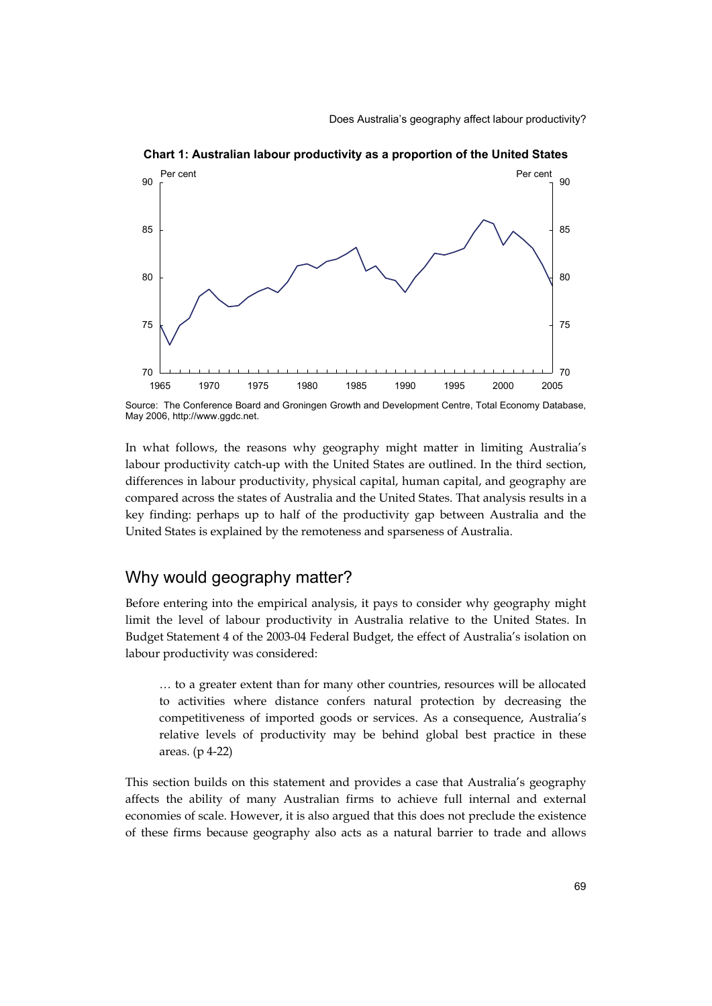

**Chart 1: Australian labour productivity as a proportion of the United States** 

In what follows, the reasons why geography might matter in limiting Australia's labour productivity catch-up with the United States are outlined. In the third section, differences in labour productivity, physical capital, human capital, and geography are compared across the states of Australia and the United States. That analysis results in a key finding: perhaps up to half of the productivity gap between Australia and the United States is explained by the remoteness and sparseness of Australia.

### Why would geography matter?

Before entering into the empirical analysis, it pays to consider why geography might limit the level of labour productivity in Australia relative to the United States. In Budget Statement 4 of the 2003-04 Federal Budget, the effect of Australia's isolation on labour productivity was considered:

… to a greater extent than for many other countries, resources will be allocated to activities where distance confers natural protection by decreasing the competitiveness of imported goods or services. As a consequence, Australia's relative levels of productivity may be behind global best practice in these areas. (p 4-22)

This section builds on this statement and provides a case that Australia's geography affects the ability of many Australian firms to achieve full internal and external economies of scale. However, it is also argued that this does not preclude the existence of these firms because geography also acts as a natural barrier to trade and allows

Source: The Conference Board and Groningen Growth and Development Centre, Total Economy Database, May 2006, http://www.ggdc.net.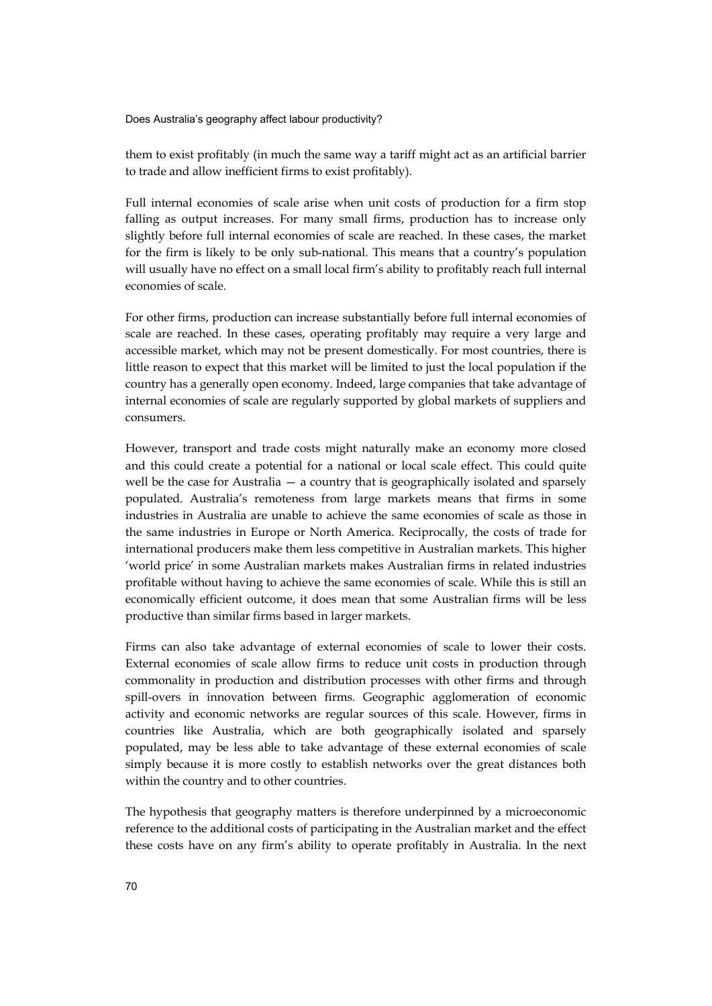them to exist profitably (in much the same way a tariff might act as an artificial barrier to trade and allow inefficient firms to exist profitably).

Full internal economies of scale arise when unit costs of production for a firm stop falling as output increases. For many small firms, production has to increase only slightly before full internal economies of scale are reached. In these cases, the market for the firm is likely to be only sub-national. This means that a country's population will usually have no effect on a small local firm's ability to profitably reach full internal economies of scale.

For other firms, production can increase substantially before full internal economies of scale are reached. In these cases, operating profitably may require a very large and accessible market, which may not be present domestically. For most countries, there is little reason to expect that this market will be limited to just the local population if the country has a generally open economy. Indeed, large companies that take advantage of internal economies of scale are regularly supported by global markets of suppliers and consumers.

However, transport and trade costs might naturally make an economy more closed and this could create a potential for a national or local scale effect. This could quite well be the case for Australia — a country that is geographically isolated and sparsely populated. Australia's remoteness from large markets means that firms in some industries in Australia are unable to achieve the same economies of scale as those in the same industries in Europe or North America. Reciprocally, the costs of trade for international producers make them less competitive in Australian markets. This higher 'world price' in some Australian markets makes Australian firms in related industries profitable without having to achieve the same economies of scale. While this is still an economically efficient outcome, it does mean that some Australian firms will be less productive than similar firms based in larger markets.

Firms can also take advantage of external economies of scale to lower their costs. External economies of scale allow firms to reduce unit costs in production through commonality in production and distribution processes with other firms and through spill-overs in innovation between firms. Geographic agglomeration of economic activity and economic networks are regular sources of this scale. However, firms in countries like Australia, which are both geographically isolated and sparsely populated, may be less able to take advantage of these external economies of scale simply because it is more costly to establish networks over the great distances both within the country and to other countries.

The hypothesis that geography matters is therefore underpinned by a microeconomic reference to the additional costs of participating in the Australian market and the effect these costs have on any firm's ability to operate profitably in Australia. In the next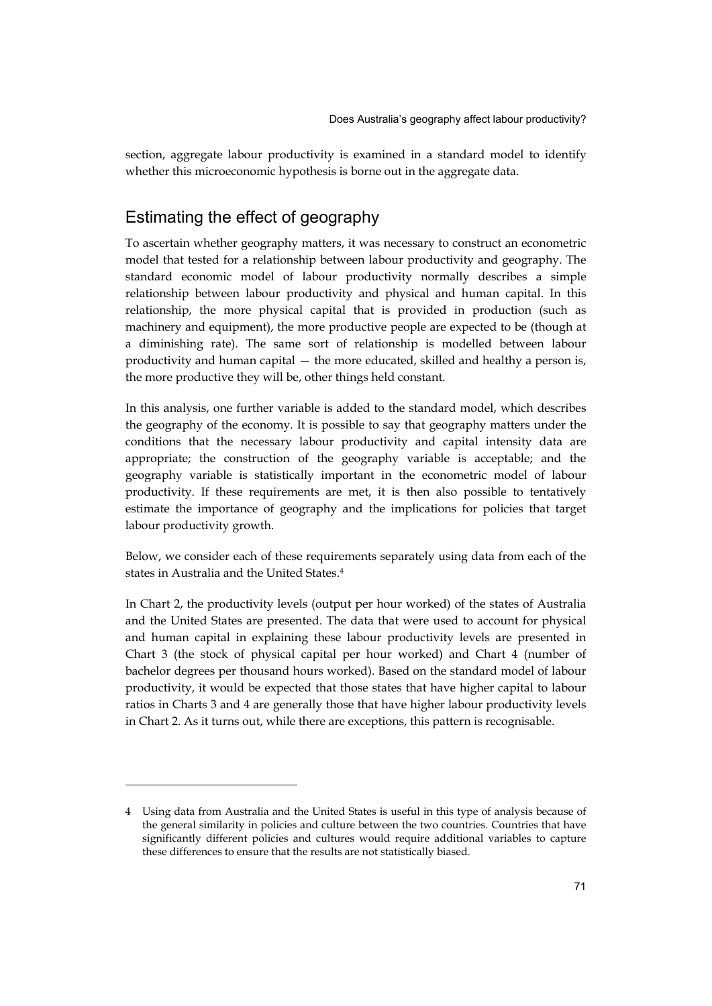section, aggregate labour productivity is examined in a standard model to identify whether this microeconomic hypothesis is borne out in the aggregate data.

# Estimating the effect of geography

-

To ascertain whether geography matters, it was necessary to construct an econometric model that tested for a relationship between labour productivity and geography. The standard economic model of labour productivity normally describes a simple relationship between labour productivity and physical and human capital. In this relationship, the more physical capital that is provided in production (such as machinery and equipment), the more productive people are expected to be (though at a diminishing rate). The same sort of relationship is modelled between labour productivity and human capital — the more educated, skilled and healthy a person is, the more productive they will be, other things held constant.

In this analysis, one further variable is added to the standard model, which describes the geography of the economy. It is possible to say that geography matters under the conditions that the necessary labour productivity and capital intensity data are appropriate; the construction of the geography variable is acceptable; and the geography variable is statistically important in the econometric model of labour productivity. If these requirements are met, it is then also possible to tentatively estimate the importance of geography and the implications for policies that target labour productivity growth.

Below, we consider each of these requirements separately using data from each of the states in Australia and the United States.4

In Chart 2, the productivity levels (output per hour worked) of the states of Australia and the United States are presented. The data that were used to account for physical and human capital in explaining these labour productivity levels are presented in Chart 3 (the stock of physical capital per hour worked) and Chart 4 (number of bachelor degrees per thousand hours worked). Based on the standard model of labour productivity, it would be expected that those states that have higher capital to labour ratios in Charts 3 and 4 are generally those that have higher labour productivity levels in Chart 2. As it turns out, while there are exceptions, this pattern is recognisable.

<sup>4</sup> Using data from Australia and the United States is useful in this type of analysis because of the general similarity in policies and culture between the two countries. Countries that have significantly different policies and cultures would require additional variables to capture these differences to ensure that the results are not statistically biased.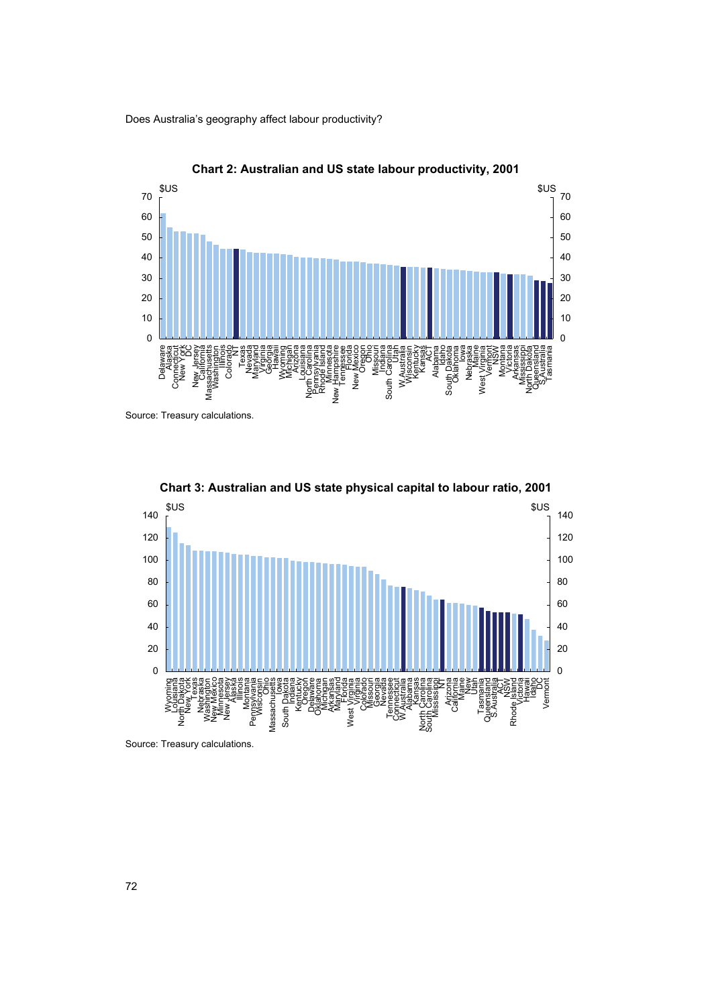



Source: Treasury calculations.



**Chart 3: Australian and US state physical capital to labour ratio, 2001** 

Source: Treasury calculations.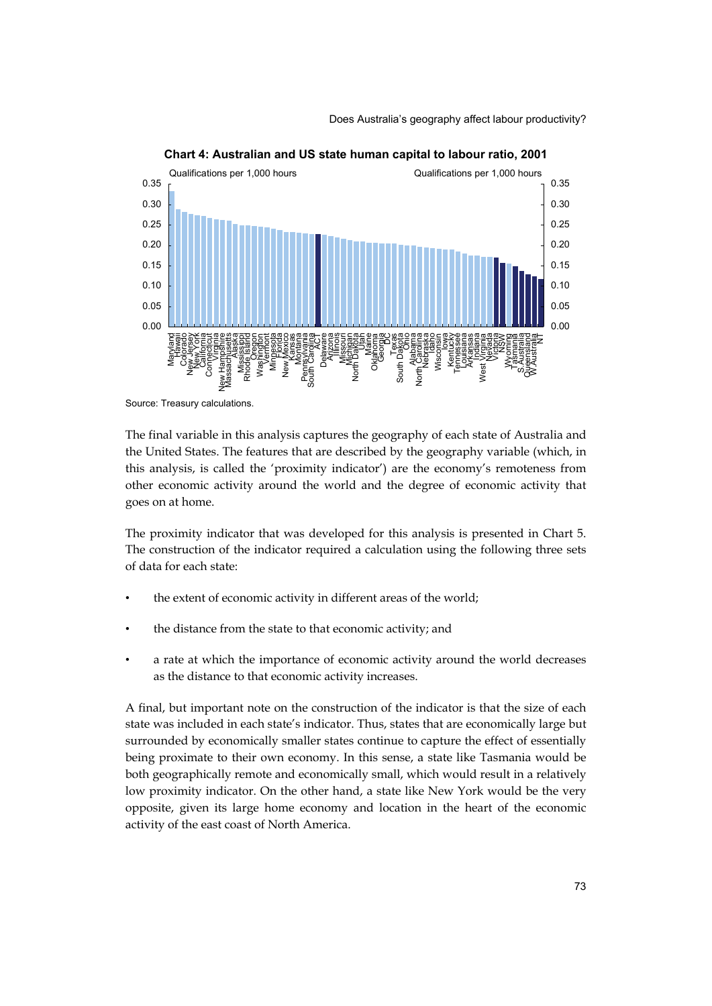

**Chart 4: Australian and US state human capital to labour ratio, 2001** 

Source: Treasury calculations.

The final variable in this analysis captures the geography of each state of Australia and the United States. The features that are described by the geography variable (which, in this analysis, is called the 'proximity indicator') are the economy's remoteness from other economic activity around the world and the degree of economic activity that goes on at home.

The proximity indicator that was developed for this analysis is presented in Chart 5. The construction of the indicator required a calculation using the following three sets of data for each state:

- the extent of economic activity in different areas of the world;
- the distance from the state to that economic activity; and
- a rate at which the importance of economic activity around the world decreases as the distance to that economic activity increases.

A final, but important note on the construction of the indicator is that the size of each state was included in each state's indicator. Thus, states that are economically large but surrounded by economically smaller states continue to capture the effect of essentially being proximate to their own economy. In this sense, a state like Tasmania would be both geographically remote and economically small, which would result in a relatively low proximity indicator. On the other hand, a state like New York would be the very opposite, given its large home economy and location in the heart of the economic activity of the east coast of North America.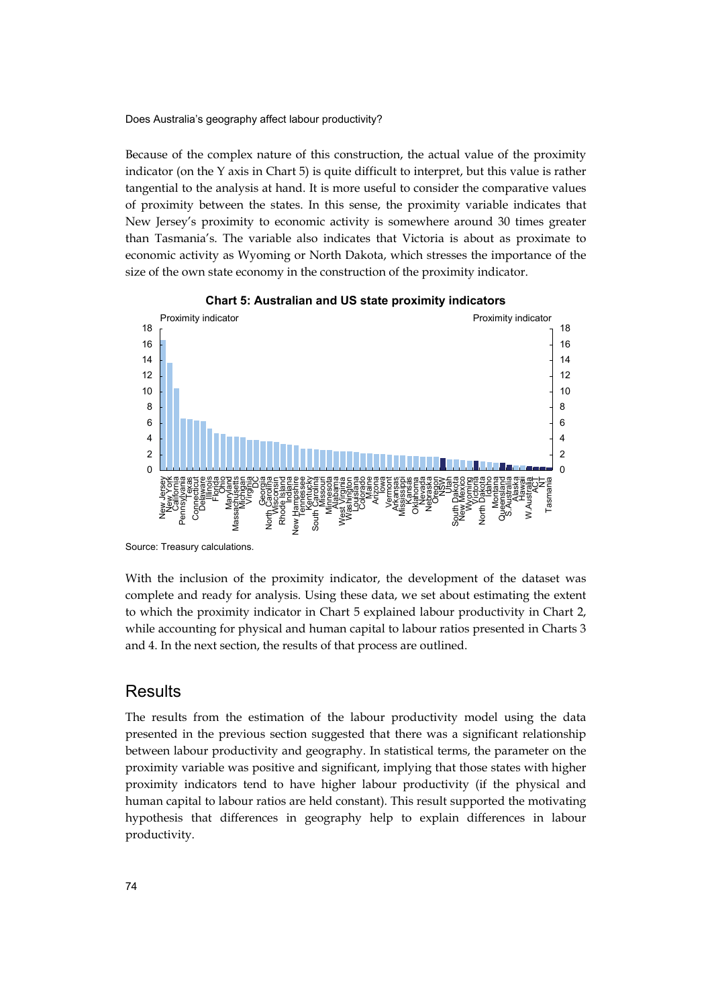Because of the complex nature of this construction, the actual value of the proximity indicator (on the  $Y$  axis in Chart 5) is quite difficult to interpret, but this value is rather tangential to the analysis at hand. It is more useful to consider the comparative values of proximity between the states. In this sense, the proximity variable indicates that New Jersey's proximity to economic activity is somewhere around 30 times greater than Tasmania's. The variable also indicates that Victoria is about as proximate to economic activity as Wyoming or North Dakota, which stresses the importance of the size of the own state economy in the construction of the proximity indicator.





Source: Treasury calculations.

With the inclusion of the proximity indicator, the development of the dataset was complete and ready for analysis. Using these data, we set about estimating the extent to which the proximity indicator in Chart 5 explained labour productivity in Chart 2, while accounting for physical and human capital to labour ratios presented in Charts 3 and 4. In the next section, the results of that process are outlined.

#### **Results**

The results from the estimation of the labour productivity model using the data presented in the previous section suggested that there was a significant relationship between labour productivity and geography. In statistical terms, the parameter on the proximity variable was positive and significant, implying that those states with higher proximity indicators tend to have higher labour productivity (if the physical and human capital to labour ratios are held constant). This result supported the motivating hypothesis that differences in geography help to explain differences in labour productivity.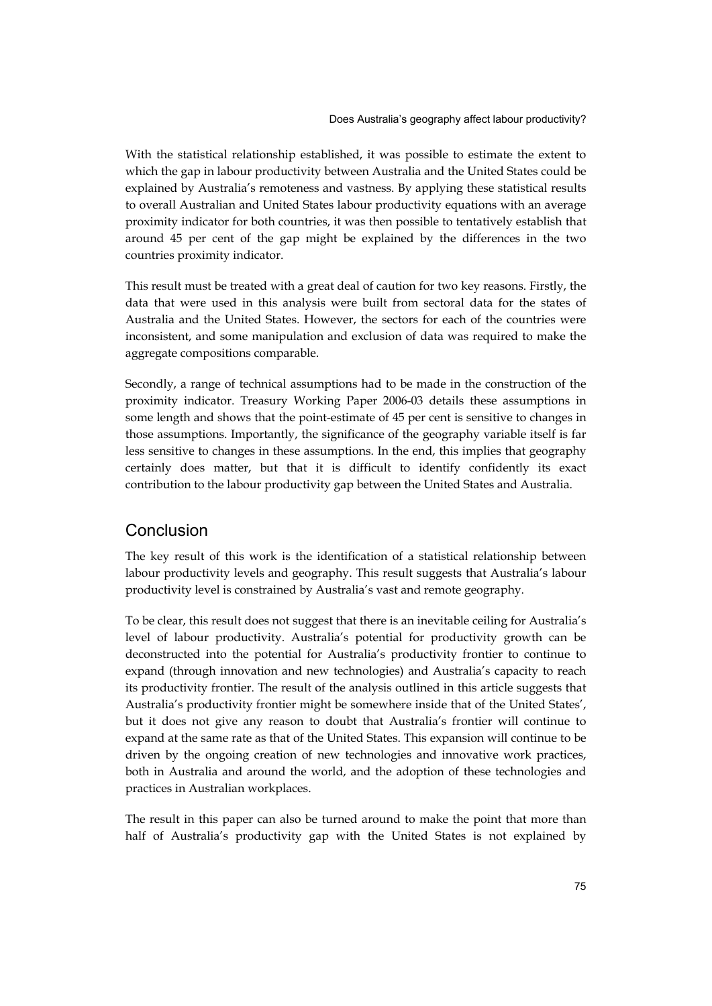With the statistical relationship established, it was possible to estimate the extent to which the gap in labour productivity between Australia and the United States could be explained by Australia's remoteness and vastness. By applying these statistical results to overall Australian and United States labour productivity equations with an average proximity indicator for both countries, it was then possible to tentatively establish that around 45 per cent of the gap might be explained by the differences in the two countries proximity indicator.

This result must be treated with a great deal of caution for two key reasons. Firstly, the data that were used in this analysis were built from sectoral data for the states of Australia and the United States. However, the sectors for each of the countries were inconsistent, and some manipulation and exclusion of data was required to make the aggregate compositions comparable.

Secondly, a range of technical assumptions had to be made in the construction of the proximity indicator. Treasury Working Paper 2006-03 details these assumptions in some length and shows that the point-estimate of 45 per cent is sensitive to changes in those assumptions. Importantly, the significance of the geography variable itself is far less sensitive to changes in these assumptions. In the end, this implies that geography certainly does matter, but that it is difficult to identify confidently its exact contribution to the labour productivity gap between the United States and Australia.

### **Conclusion**

The key result of this work is the identification of a statistical relationship between labour productivity levels and geography. This result suggests that Australia's labour productivity level is constrained by Australia's vast and remote geography.

To be clear, this result does not suggest that there is an inevitable ceiling for Australia's level of labour productivity. Australia's potential for productivity growth can be deconstructed into the potential for Australia's productivity frontier to continue to expand (through innovation and new technologies) and Australia's capacity to reach its productivity frontier. The result of the analysis outlined in this article suggests that Australia's productivity frontier might be somewhere inside that of the United States', but it does not give any reason to doubt that Australia's frontier will continue to expand at the same rate as that of the United States. This expansion will continue to be driven by the ongoing creation of new technologies and innovative work practices, both in Australia and around the world, and the adoption of these technologies and practices in Australian workplaces.

The result in this paper can also be turned around to make the point that more than half of Australia's productivity gap with the United States is not explained by